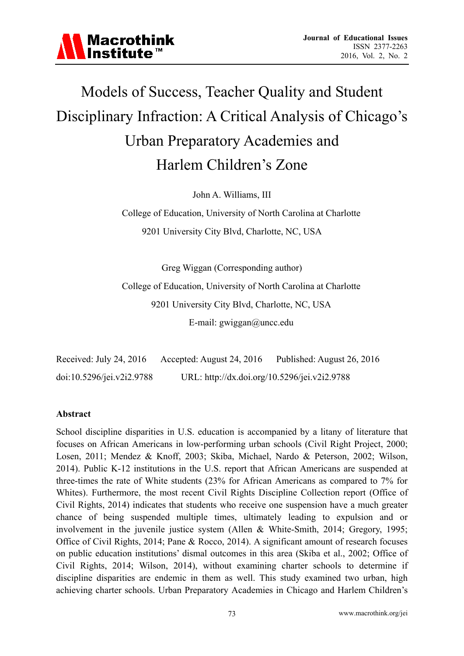

# Models of Success, Teacher Quality and Student Disciplinary Infraction: A Critical Analysis of Chicago's Urban Preparatory Academies and Harlem Children's Zone

John A. Williams, III

College of Education, University of North Carolina at Charlotte 9201 University City Blvd, Charlotte, NC, USA

Greg Wiggan (Corresponding author) College of Education, University of North Carolina at Charlotte 9201 University City Blvd, Charlotte, NC, USA E-mail: gwiggan@uncc.edu

Received: July 24, 2016 Accepted: August 24, 2016 Published: August 26, 2016 doi:10.5296/jei.v2i2.9788 URL: http://dx.doi.org/10.5296/jei.v2i2.9788

#### **Abstract**

School discipline disparities in U.S. education is accompanied by a litany of literature that focuses on African Americans in low-performing urban schools (Civil Right Project, 2000; Losen, 2011; Mendez & Knoff, 2003; Skiba, Michael, Nardo & Peterson, 2002; Wilson, 2014). Public K-12 institutions in the U.S. report that African Americans are suspended at three-times the rate of White students (23% for African Americans as compared to 7% for Whites). Furthermore, the most recent Civil Rights Discipline Collection report (Office of Civil Rights, 2014) indicates that students who receive one suspension have a much greater chance of being suspended multiple times, ultimately leading to expulsion and or involvement in the juvenile justice system (Allen & White-Smith, 2014; Gregory, 1995; Office of Civil Rights, 2014; Pane & Rocco, 2014). A significant amount of research focuses on public education institutions' dismal outcomes in this area (Skiba et al., 2002; Office of Civil Rights, 2014; Wilson, 2014), without examining charter schools to determine if discipline disparities are endemic in them as well. This study examined two urban, high achieving charter schools. Urban Preparatory Academies in Chicago and Harlem Children's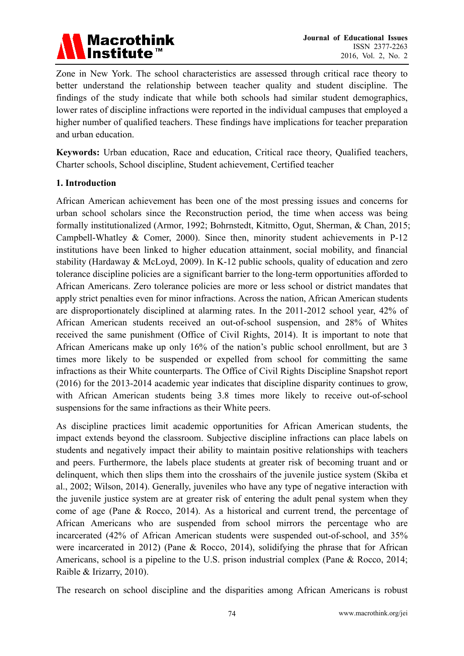

Zone in New York. The school characteristics are assessed through critical race theory to better understand the relationship between teacher quality and student discipline. The findings of the study indicate that while both schools had similar student demographics, lower rates of discipline infractions were reported in the individual campuses that employed a higher number of qualified teachers. These findings have implications for teacher preparation and urban education.

**Keywords:** Urban education, Race and education, Critical race theory, Qualified teachers, Charter schools, School discipline, Student achievement, Certified teacher

#### **1. Introduction**

African American achievement has been one of the most pressing issues and concerns for urban school scholars since the Reconstruction period, the time when access was being formally institutionalized (Armor, 1992; Bohrnstedt, Kitmitto, Ogut, Sherman, & Chan, 2015; Campbell-Whatley & Comer, 2000). Since then, minority student achievements in P-12 institutions have been linked to higher education attainment, social mobility, and financial stability (Hardaway & McLoyd, 2009). In K-12 public schools, quality of education and zero tolerance discipline policies are a significant barrier to the long-term opportunities afforded to African Americans. Zero tolerance policies are more or less school or district mandates that apply strict penalties even for minor infractions. Across the nation, African American students are disproportionately disciplined at alarming rates. In the 2011-2012 school year, 42% of African American students received an out-of-school suspension, and 28% of Whites received the same punishment (Office of Civil Rights, 2014). It is important to note that African Americans make up only 16% of the nation's public school enrollment, but are 3 times more likely to be suspended or expelled from school for committing the same infractions as their White counterparts. The Office of Civil Rights Discipline Snapshot report (2016) for the 2013-2014 academic year indicates that discipline disparity continues to grow, with African American students being 3.8 times more likely to receive out-of-school suspensions for the same infractions as their White peers.

As discipline practices limit academic opportunities for African American students, the impact extends beyond the classroom. Subjective discipline infractions can place labels on students and negatively impact their ability to maintain positive relationships with teachers and peers. Furthermore, the labels place students at greater risk of becoming truant and or delinquent, which then slips them into the crosshairs of the juvenile justice system (Skiba et al., 2002; Wilson, 2014). Generally, juveniles who have any type of negative interaction with the juvenile justice system are at greater risk of entering the adult penal system when they come of age (Pane & Rocco, 2014). As a historical and current trend, the percentage of African Americans who are suspended from school mirrors the percentage who are incarcerated (42% of African American students were suspended out-of-school, and 35% were incarcerated in 2012) (Pane & Rocco, 2014), solidifying the phrase that for African Americans, school is a pipeline to the U.S. prison industrial complex (Pane & Rocco, 2014; Raible & Irizarry, 2010).

The research on school discipline and the disparities among African Americans is robust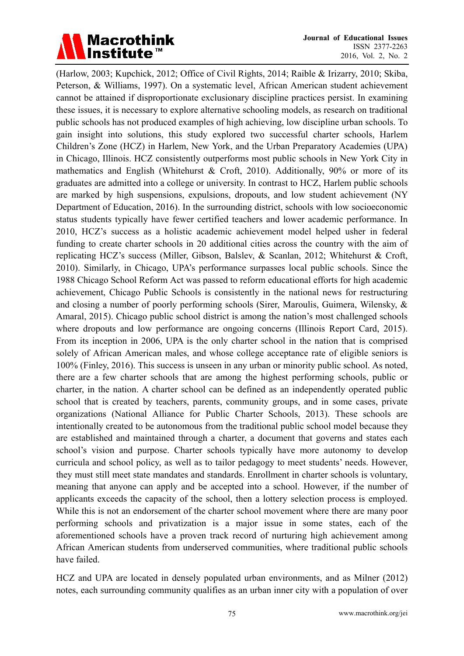

(Harlow, 2003; Kupchick, 2012; Office of Civil Rights, 2014; Raible & Irizarry, 2010; Skiba, Peterson, & Williams, 1997). On a systematic level, African American student achievement cannot be attained if disproportionate exclusionary discipline practices persist. In examining these issues, it is necessary to explore alternative schooling models, as research on traditional public schools has not produced examples of high achieving, low discipline urban schools. To gain insight into solutions, this study explored two successful charter schools, Harlem Children's Zone (HCZ) in Harlem, New York, and the Urban Preparatory Academies (UPA) in Chicago, Illinois. HCZ consistently outperforms most public schools in New York City in mathematics and English (Whitehurst & Croft, 2010). Additionally, 90% or more of its graduates are admitted into a college or university. In contrast to HCZ, Harlem public schools are marked by high suspensions, expulsions, dropouts, and low student achievement (NY Department of Education, 2016). In the surrounding district, schools with low socioeconomic status students typically have fewer certified teachers and lower academic performance. In 2010, HCZ's success as a holistic academic achievement model helped usher in federal funding to create charter schools in 20 additional cities across the country with the aim of replicating HCZ's success (Miller, Gibson, Balslev, & Scanlan, 2012; Whitehurst & Croft, 2010). Similarly, in Chicago, UPA's performance surpasses local public schools. Since the 1988 Chicago School Reform Act was passed to reform educational efforts for high academic achievement, Chicago Public Schools is consistently in the national news for restructuring and closing a number of poorly performing schools (Sirer, Maroulis, Guimera, Wilensky, & Amaral, 2015). Chicago public school district is among the nation's most challenged schools where dropouts and low performance are ongoing concerns (Illinois Report Card, 2015). From its inception in 2006, UPA is the only charter school in the nation that is comprised solely of African American males, and whose college acceptance rate of eligible seniors is 100% (Finley, 2016). This success is unseen in any urban or minority public school. As noted, there are a few charter schools that are among the highest performing schools, public or charter, in the nation. A charter school can be defined as an independently operated public school that is created by teachers, parents, community groups, and in some cases, private organizations (National Alliance for Public Charter Schools, 2013). These schools are intentionally created to be autonomous from the traditional public school model because they are established and maintained through a charter, a document that governs and states each school's vision and purpose. Charter schools typically have more autonomy to develop curricula and school policy, as well as to tailor pedagogy to meet students' needs. However, they must still meet state mandates and standards. Enrollment in charter schools is voluntary, meaning that anyone can apply and be accepted into a school. However, if the number of applicants exceeds the capacity of the school, then a lottery selection process is employed. While this is not an endorsement of the charter school movement where there are many poor performing schools and privatization is a major issue in some states, each of the aforementioned schools have a proven track record of nurturing high achievement among African American students from underserved communities, where traditional public schools have failed.

HCZ and UPA are located in densely populated urban environments, and as Milner (2012) notes, each surrounding community qualifies as an urban inner city with a population of over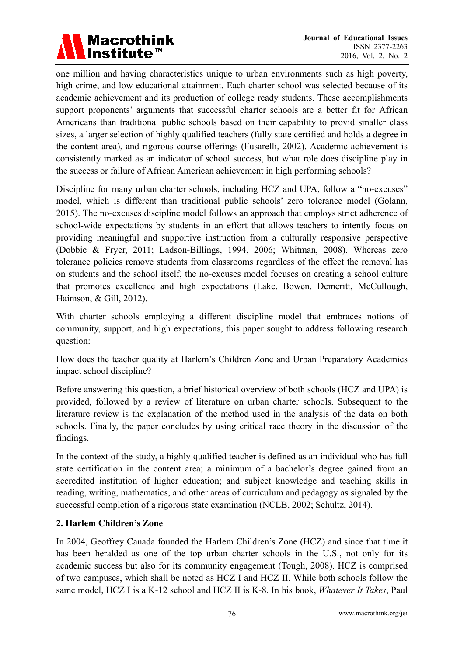

one million and having characteristics unique to urban environments such as high poverty, high crime, and low educational attainment. Each charter school was selected because of its academic achievement and its production of college ready students. These accomplishments support proponents' arguments that successful charter schools are a better fit for African Americans than traditional public schools based on their capability to provid smaller class sizes, a larger selection of highly qualified teachers (fully state certified and holds a degree in the content area), and rigorous course offerings (Fusarelli, 2002). Academic achievement is consistently marked as an indicator of school success, but what role does discipline play in the success or failure of African American achievement in high performing schools?

Discipline for many urban charter schools, including HCZ and UPA, follow a "no-excuses" model, which is different than traditional public schools' zero tolerance model (Golann, 2015). The no-excuses discipline model follows an approach that employs strict adherence of school-wide expectations by students in an effort that allows teachers to intently focus on providing meaningful and supportive instruction from a culturally responsive perspective (Dobbie & Fryer, 2011; Ladson-Billings, 1994, 2006; Whitman, 2008). Whereas zero tolerance policies remove students from classrooms regardless of the effect the removal has on students and the school itself, the no-excuses model focuses on creating a school culture that promotes excellence and high expectations (Lake, Bowen, Demeritt, McCullough, Haimson, & Gill, 2012).

With charter schools employing a different discipline model that embraces notions of community, support, and high expectations, this paper sought to address following research question:

How does the teacher quality at Harlem's Children Zone and Urban Preparatory Academies impact school discipline?

Before answering this question, a brief historical overview of both schools (HCZ and UPA) is provided, followed by a review of literature on urban charter schools. Subsequent to the literature review is the explanation of the method used in the analysis of the data on both schools. Finally, the paper concludes by using critical race theory in the discussion of the findings.

In the context of the study, a highly qualified teacher is defined as an individual who has full state certification in the content area; a minimum of a bachelor's degree gained from an accredited institution of higher education; and subject knowledge and teaching skills in reading, writing, mathematics, and other areas of curriculum and pedagogy as signaled by the successful completion of a rigorous state examination (NCLB, 2002; Schultz, 2014).

# **2. Harlem Children's Zone**

In 2004, Geoffrey Canada founded the Harlem Children's Zone (HCZ) and since that time it has been heralded as one of the top urban charter schools in the U.S., not only for its academic success but also for its community engagement (Tough, 2008). HCZ is comprised of two campuses, which shall be noted as HCZ I and HCZ II. While both schools follow the same model, HCZ I is a K-12 school and HCZ II is K-8. In his book, *Whatever It Takes*, Paul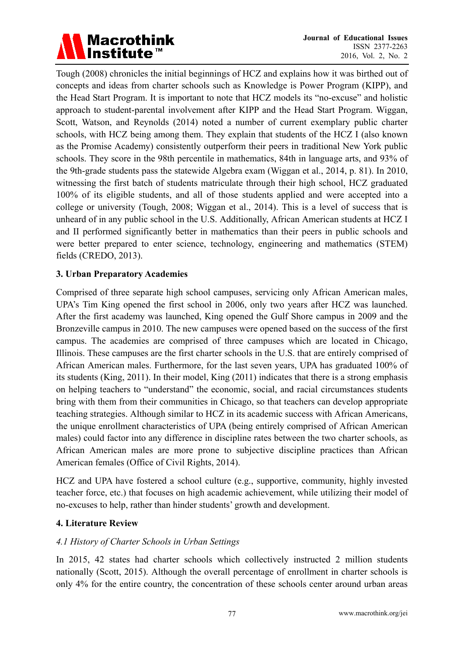

Tough (2008) chronicles the initial beginnings of HCZ and explains how it was birthed out of concepts and ideas from charter schools such as Knowledge is Power Program (KIPP), and the Head Start Program. It is important to note that HCZ models its "no-excuse" and holistic approach to student-parental involvement after KIPP and the Head Start Program. Wiggan, Scott, Watson, and Reynolds (2014) noted a number of current exemplary public charter schools, with HCZ being among them. They explain that students of the HCZ I (also known as the Promise Academy) consistently outperform their peers in traditional New York public schools. They score in the 98th percentile in mathematics, 84th in language arts, and 93% of the 9th-grade students pass the statewide Algebra exam (Wiggan et al., 2014, p. 81). In 2010, witnessing the first batch of students matriculate through their high school, HCZ graduated 100% of its eligible students, and all of those students applied and were accepted into a college or university (Tough, 2008; Wiggan et al., 2014). This is a level of success that is unheard of in any public school in the U.S. Additionally, African American students at HCZ I and II performed significantly better in mathematics than their peers in public schools and were better prepared to enter science, technology, engineering and mathematics (STEM) fields (CREDO, 2013).

# **3. Urban Preparatory Academies**

Comprised of three separate high school campuses, servicing only African American males, UPA's Tim King opened the first school in 2006, only two years after HCZ was launched. After the first academy was launched, King opened the Gulf Shore campus in 2009 and the Bronzeville campus in 2010. The new campuses were opened based on the success of the first campus. The academies are comprised of three campuses which are located in Chicago, Illinois. These campuses are the first charter schools in the U.S. that are entirely comprised of African American males. Furthermore, for the last seven years, UPA has graduated 100% of its students (King, 2011). In their model, King (2011) indicates that there is a strong emphasis on helping teachers to "understand" the economic, social, and racial circumstances students bring with them from their communities in Chicago, so that teachers can develop appropriate teaching strategies. Although similar to HCZ in its academic success with African Americans, the unique enrollment characteristics of UPA (being entirely comprised of African American males) could factor into any difference in discipline rates between the two charter schools, as African American males are more prone to subjective discipline practices than African American females (Office of Civil Rights, 2014).

HCZ and UPA have fostered a school culture (e.g., supportive, community, highly invested teacher force, etc.) that focuses on high academic achievement, while utilizing their model of no-excuses to help, rather than hinder students' growth and development.

#### **4. Literature Review**

#### *4.1 History of Charter Schools in Urban Settings*

In 2015, 42 states had charter schools which collectively instructed 2 million students nationally (Scott, 2015). Although the overall percentage of enrollment in charter schools is only 4% for the entire country, the concentration of these schools center around urban areas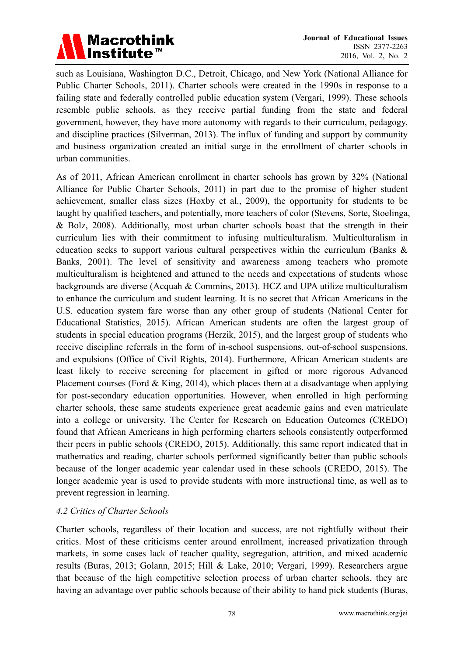

such as Louisiana, Washington D.C., Detroit, Chicago, and New York (National Alliance for Public Charter Schools, 2011). Charter schools were created in the 1990s in response to a failing state and federally controlled public education system (Vergari, 1999). These schools resemble public schools, as they receive partial funding from the state and federal government, however, they have more autonomy with regards to their curriculum, pedagogy, and discipline practices (Silverman, 2013). The influx of funding and support by community and business organization created an initial surge in the enrollment of charter schools in urban communities.

As of 2011, African American enrollment in charter schools has grown by 32% (National Alliance for Public Charter Schools, 2011) in part due to the promise of higher student achievement, smaller class sizes (Hoxby et al., 2009), the opportunity for students to be taught by qualified teachers, and potentially, more teachers of color (Stevens, Sorte, Stoelinga, & Bolz, 2008). Additionally, most urban charter schools boast that the strength in their curriculum lies with their commitment to infusing multiculturalism. Multiculturalism in education seeks to support various cultural perspectives within the curriculum (Banks & Banks, 2001). The level of sensitivity and awareness among teachers who promote multiculturalism is heightened and attuned to the needs and expectations of students whose backgrounds are diverse (Acquah & Commins, 2013). HCZ and UPA utilize multiculturalism to enhance the curriculum and student learning. It is no secret that African Americans in the U.S. education system fare worse than any other group of students (National Center for Educational Statistics, 2015). African American students are often the largest group of students in special education programs (Herzik, 2015), and the largest group of students who receive discipline referrals in the form of in-school suspensions, out-of-school suspensions, and expulsions (Office of Civil Rights, 2014). Furthermore, African American students are least likely to receive screening for placement in gifted or more rigorous Advanced Placement courses (Ford  $&$  King, 2014), which places them at a disadvantage when applying for post-secondary education opportunities. However, when enrolled in high performing charter schools, these same students experience great academic gains and even matriculate into a college or university. The Center for Research on Education Outcomes (CREDO) found that African Americans in high performing charters schools consistently outperformed their peers in public schools (CREDO, 2015). Additionally, this same report indicated that in mathematics and reading, charter schools performed significantly better than public schools because of the longer academic year calendar used in these schools (CREDO, 2015). The longer academic year is used to provide students with more instructional time, as well as to prevent regression in learning.

#### *4.2 Critics of Charter Schools*

Charter schools, regardless of their location and success, are not rightfully without their critics. Most of these criticisms center around enrollment, increased privatization through markets, in some cases lack of teacher quality, segregation, attrition, and mixed academic results (Buras, 2013; Golann, 2015; Hill & Lake, 2010; Vergari, 1999). Researchers argue that because of the high competitive selection process of urban charter schools, they are having an advantage over public schools because of their ability to hand pick students (Buras,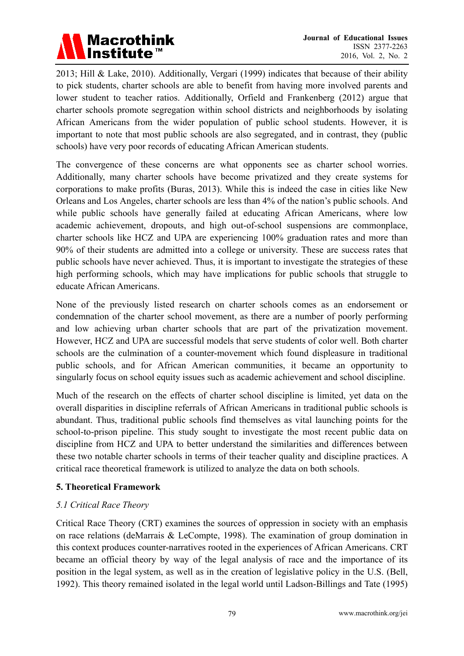

2013; Hill & Lake, 2010). Additionally, Vergari (1999) indicates that because of their ability to pick students, charter schools are able to benefit from having more involved parents and lower student to teacher ratios. Additionally, Orfield and Frankenberg (2012) argue that charter schools promote segregation within school districts and neighborhoods by isolating African Americans from the wider population of public school students. However, it is important to note that most public schools are also segregated, and in contrast, they (public schools) have very poor records of educating African American students.

The convergence of these concerns are what opponents see as charter school worries. Additionally, many charter schools have become privatized and they create systems for corporations to make profits (Buras, 2013). While this is indeed the case in cities like New Orleans and Los Angeles, charter schools are less than 4% of the nation's public schools. And while public schools have generally failed at educating African Americans, where low academic achievement, dropouts, and high out-of-school suspensions are commonplace, charter schools like HCZ and UPA are experiencing 100% graduation rates and more than 90% of their students are admitted into a college or university. These are success rates that public schools have never achieved. Thus, it is important to investigate the strategies of these high performing schools, which may have implications for public schools that struggle to educate African Americans.

None of the previously listed research on charter schools comes as an endorsement or condemnation of the charter school movement, as there are a number of poorly performing and low achieving urban charter schools that are part of the privatization movement. However, HCZ and UPA are successful models that serve students of color well. Both charter schools are the culmination of a counter-movement which found displeasure in traditional public schools, and for African American communities, it became an opportunity to singularly focus on school equity issues such as academic achievement and school discipline.

Much of the research on the effects of charter school discipline is limited, yet data on the overall disparities in discipline referrals of African Americans in traditional public schools is abundant. Thus, traditional public schools find themselves as vital launching points for the school-to-prison pipeline. This study sought to investigate the most recent public data on discipline from HCZ and UPA to better understand the similarities and differences between these two notable charter schools in terms of their teacher quality and discipline practices. A critical race theoretical framework is utilized to analyze the data on both schools.

# **5. Theoretical Framework**

# *5.1 Critical Race Theory*

Critical Race Theory (CRT) examines the sources of oppression in society with an emphasis on race relations (deMarrais & LeCompte, 1998). The examination of group domination in this context produces counter-narratives rooted in the experiences of African Americans. CRT became an official theory by way of the legal analysis of race and the importance of its position in the legal system, as well as in the creation of legislative policy in the U.S. (Bell, 1992). This theory remained isolated in the legal world until Ladson-Billings and Tate (1995)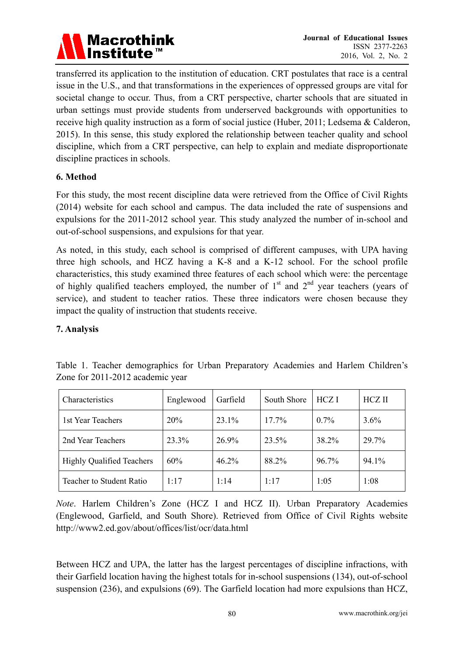

transferred its application to the institution of education. CRT postulates that race is a central issue in the U.S., and that transformations in the experiences of oppressed groups are vital for societal change to occur. Thus, from a CRT perspective, charter schools that are situated in urban settings must provide students from underserved backgrounds with opportunities to receive high quality instruction as a form of social justice (Huber, 2011; Ledsema & Calderon, 2015). In this sense, this study explored the relationship between teacher quality and school discipline, which from a CRT perspective, can help to explain and mediate disproportionate discipline practices in schools.

# **6. Method**

For this study, the most recent discipline data were retrieved from the Office of Civil Rights (2014) website for each school and campus. The data included the rate of suspensions and expulsions for the 2011-2012 school year. This study analyzed the number of in-school and out-of-school suspensions, and expulsions for that year.

As noted, in this study, each school is comprised of different campuses, with UPA having three high schools, and HCZ having a K-8 and a K-12 school. For the school profile characteristics, this study examined three features of each school which were: the percentage of highly qualified teachers employed, the number of  $1<sup>st</sup>$  and  $2<sup>nd</sup>$  year teachers (years of service), and student to teacher ratios. These three indicators were chosen because they impact the quality of instruction that students receive.

#### **7. Analysis**

| Characteristics                  | Englewood | Garfield | South Shore | HCZ I   | <b>HCZ II</b> |
|----------------------------------|-----------|----------|-------------|---------|---------------|
| 1st Year Teachers                | 20%       | 23.1%    | $17.7\%$    | $0.7\%$ | $3.6\%$       |
| 2nd Year Teachers                | 23.3%     | 26.9%    | 23.5%       | 38.2%   | 29.7%         |
| <b>Highly Qualified Teachers</b> | 60%       | 46.2%    | 88.2%       | 96.7%   | 94.1%         |
| Teacher to Student Ratio         | 1:17      | 1:14     | 1:17        | 1:05    | 1:08          |

Table 1. Teacher demographics for Urban Preparatory Academies and Harlem Children's Zone for 2011-2012 academic year

*Note*. Harlem Children's Zone (HCZ I and HCZ II). Urban Preparatory Academies (Englewood, Garfield, and South Shore). Retrieved from Office of Civil Rights website http://www2.ed.gov/about/offices/list/ocr/data.html

Between HCZ and UPA, the latter has the largest percentages of discipline infractions, with their Garfield location having the highest totals for in-school suspensions (134), out-of-school suspension (236), and expulsions (69). The Garfield location had more expulsions than HCZ,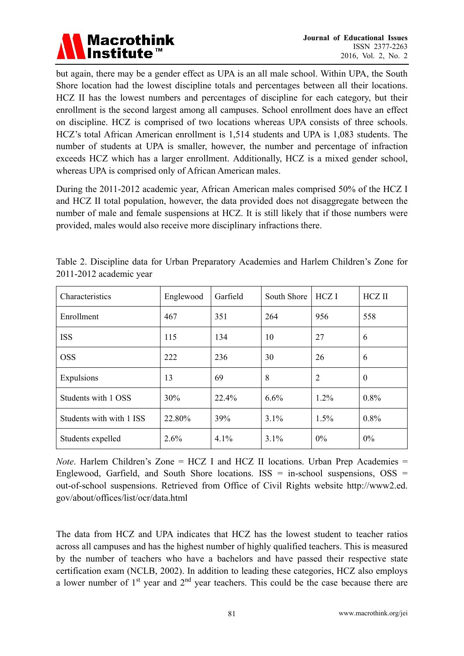

but again, there may be a gender effect as UPA is an all male school. Within UPA, the South Shore location had the lowest discipline totals and percentages between all their locations. HCZ II has the lowest numbers and percentages of discipline for each category, but their enrollment is the second largest among all campuses. School enrollment does have an effect on discipline. HCZ is comprised of two locations whereas UPA consists of three schools. HCZ's total African American enrollment is 1,514 students and UPA is 1,083 students. The number of students at UPA is smaller, however, the number and percentage of infraction exceeds HCZ which has a larger enrollment. Additionally, HCZ is a mixed gender school, whereas UPA is comprised only of African American males.

During the 2011-2012 academic year, African American males comprised 50% of the HCZ I and HCZ II total population, however, the data provided does not disaggregate between the number of male and female suspensions at HCZ. It is still likely that if those numbers were provided, males would also receive more disciplinary infractions there.

| Characteristics          | Englewood | Garfield | South Shore | HCZ I          | HCZ II   |
|--------------------------|-----------|----------|-------------|----------------|----------|
| Enrollment               | 467       | 351      | 264         | 956            | 558      |
| <b>ISS</b>               | 115       | 134      | 10          | 27             | 6        |
| <b>OSS</b>               | 222       | 236      | 30          | 26             | 6        |
| Expulsions               | 13        | 69       | 8           | $\overline{2}$ | $\theta$ |
| Students with 1 OSS      | 30%       | 22.4%    | 6.6%        | $1.2\%$        | 0.8%     |
| Students with with 1 ISS | 22.80%    | 39%      | 3.1%        | 1.5%           | 0.8%     |
| Students expelled        | 2.6%      | 4.1%     | 3.1%        | 0%             | 0%       |

Table 2. Discipline data for Urban Preparatory Academies and Harlem Children's Zone for 2011-2012 academic year

*Note*. Harlem Children's Zone = HCZ I and HCZ II locations. Urban Prep Academies = Englewood, Garfield, and South Shore locations.  $ISS = in-school$  suspensions,  $OSS =$ out-of-school suspensions. Retrieved from Office of Civil Rights website http://www2.ed. gov/about/offices/list/ocr/data.html

The data from HCZ and UPA indicates that HCZ has the lowest student to teacher ratios across all campuses and has the highest number of highly qualified teachers. This is measured by the number of teachers who have a bachelors and have passed their respective state certification exam (NCLB, 2002). In addition to leading these categories, HCZ also employs a lower number of  $1<sup>st</sup>$  year and  $2<sup>nd</sup>$  year teachers. This could be the case because there are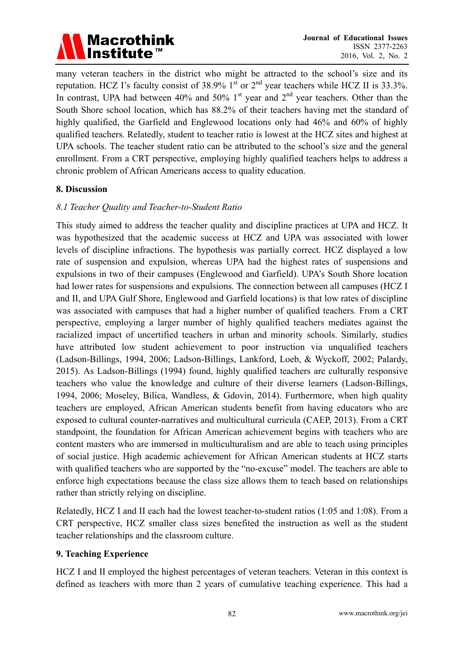# Macrothink<br>Institute™

many veteran teachers in the district who might be attracted to the school's size and its reputation. HCZ I's faculty consist of 38.9%  $1<sup>st</sup>$  or  $2<sup>nd</sup>$  year teachers while HCZ II is 33.3%. In contrast, UPA had between  $40\%$  and  $50\%$  1<sup>st</sup> year and  $2<sup>nd</sup>$  year teachers. Other than the South Shore school location, which has 88.2% of their teachers having met the standard of highly qualified, the Garfield and Englewood locations only had 46% and 60% of highly qualified teachers. Relatedly, student to teacher ratio is lowest at the HCZ sites and highest at UPA schools. The teacher student ratio can be attributed to the school's size and the general enrollment. From a CRT perspective, employing highly qualified teachers helps to address a chronic problem of African Americans access to quality education.

# **8. Discussion**

# *8.1 Teacher Quality and Teacher-to-Student Ratio*

This study aimed to address the teacher quality and discipline practices at UPA and HCZ. It was hypothesized that the academic success at HCZ and UPA was associated with lower levels of discipline infractions. The hypothesis was partially correct. HCZ displayed a low rate of suspension and expulsion, whereas UPA had the highest rates of suspensions and expulsions in two of their campuses (Englewood and Garfield). UPA's South Shore location had lower rates for suspensions and expulsions. The connection between all campuses (HCZ I and II, and UPA Gulf Shore, Englewood and Garfield locations) is that low rates of discipline was associated with campuses that had a higher number of qualified teachers. From a CRT perspective, employing a larger number of highly qualified teachers mediates against the racialized impact of uncertified teachers in urban and minority schools. Similarly, studies have attributed low student achievement to poor instruction via unqualified teachers (Ladson-Billings, 1994, 2006; Ladson-Billings, Lankford, Loeb, & Wyckoff, 2002; Palardy, 2015). As Ladson-Billings (1994) found, highly qualified teachers are culturally responsive teachers who value the knowledge and culture of their diverse learners (Ladson-Billings, 1994, 2006; Moseley, Bilica, Wandless, & Gdovin, 2014). Furthermore, when high quality teachers are employed, African American students benefit from having educators who are exposed to cultural counter-narratives and multicultural curricula (CAEP, 2013). From a CRT standpoint, the foundation for African American achievement begins with teachers who are content masters who are immersed in multiculturalism and are able to teach using principles of social justice. High academic achievement for African American students at HCZ starts with qualified teachers who are supported by the "no-excuse" model. The teachers are able to enforce high expectations because the class size allows them to teach based on relationships rather than strictly relying on discipline.

Relatedly, HCZ I and II each had the lowest teacher-to-student ratios (1:05 and 1:08). From a CRT perspective, HCZ smaller class sizes benefited the instruction as well as the student teacher relationships and the classroom culture.

# **9. Teaching Experience**

HCZ I and II employed the highest percentages of veteran teachers. Veteran in this context is defined as teachers with more than 2 years of cumulative teaching experience. This had a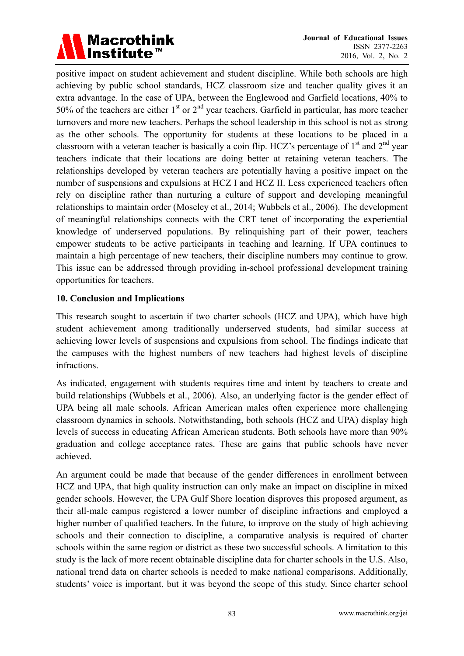

positive impact on student achievement and student discipline. While both schools are high achieving by public school standards, HCZ classroom size and teacher quality gives it an extra advantage. In the case of UPA, between the Englewood and Garfield locations, 40% to 50% of the teachers are either  $1<sup>st</sup>$  or  $2<sup>nd</sup>$  year teachers. Garfield in particular, has more teacher turnovers and more new teachers. Perhaps the school leadership in this school is not as strong as the other schools. The opportunity for students at these locations to be placed in a classroom with a veteran teacher is basically a coin flip. HCZ's percentage of  $1<sup>st</sup>$  and  $2<sup>nd</sup>$  year teachers indicate that their locations are doing better at retaining veteran teachers. The relationships developed by veteran teachers are potentially having a positive impact on the number of suspensions and expulsions at HCZ I and HCZ II. Less experienced teachers often rely on discipline rather than nurturing a culture of support and developing meaningful relationships to maintain order (Moseley et al., 2014; Wubbels et al., 2006). The development of meaningful relationships connects with the CRT tenet of incorporating the experiential knowledge of underserved populations. By relinquishing part of their power, teachers empower students to be active participants in teaching and learning. If UPA continues to maintain a high percentage of new teachers, their discipline numbers may continue to grow. This issue can be addressed through providing in-school professional development training opportunities for teachers.

#### **10. Conclusion and Implications**

This research sought to ascertain if two charter schools (HCZ and UPA), which have high student achievement among traditionally underserved students, had similar success at achieving lower levels of suspensions and expulsions from school. The findings indicate that the campuses with the highest numbers of new teachers had highest levels of discipline infractions.

As indicated, engagement with students requires time and intent by teachers to create and build relationships (Wubbels et al., 2006). Also, an underlying factor is the gender effect of UPA being all male schools. African American males often experience more challenging classroom dynamics in schools. Notwithstanding, both schools (HCZ and UPA) display high levels of success in educating African American students. Both schools have more than 90% graduation and college acceptance rates. These are gains that public schools have never achieved.

An argument could be made that because of the gender differences in enrollment between HCZ and UPA, that high quality instruction can only make an impact on discipline in mixed gender schools. However, the UPA Gulf Shore location disproves this proposed argument, as their all-male campus registered a lower number of discipline infractions and employed a higher number of qualified teachers. In the future, to improve on the study of high achieving schools and their connection to discipline, a comparative analysis is required of charter schools within the same region or district as these two successful schools. A limitation to this study is the lack of more recent obtainable discipline data for charter schools in the U.S. Also, national trend data on charter schools is needed to make national comparisons. Additionally, students' voice is important, but it was beyond the scope of this study. Since charter school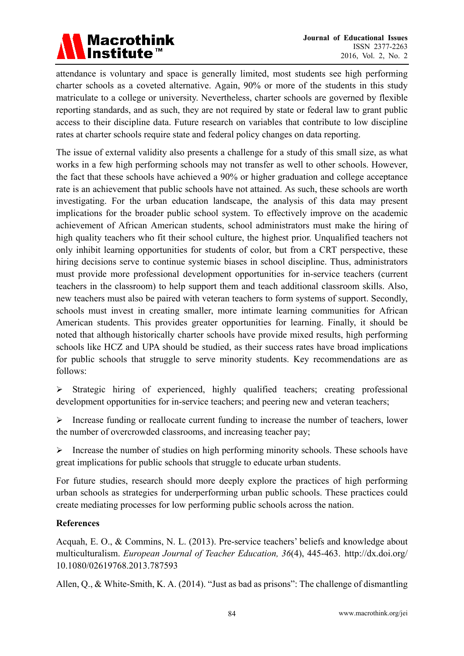

attendance is voluntary and space is generally limited, most students see high performing charter schools as a coveted alternative. Again, 90% or more of the students in this study matriculate to a college or university. Nevertheless, charter schools are governed by flexible reporting standards, and as such, they are not required by state or federal law to grant public access to their discipline data. Future research on variables that contribute to low discipline rates at charter schools require state and federal policy changes on data reporting.

The issue of external validity also presents a challenge for a study of this small size, as what works in a few high performing schools may not transfer as well to other schools. However, the fact that these schools have achieved a 90% or higher graduation and college acceptance rate is an achievement that public schools have not attained. As such, these schools are worth investigating. For the urban education landscape, the analysis of this data may present implications for the broader public school system. To effectively improve on the academic achievement of African American students, school administrators must make the hiring of high quality teachers who fit their school culture, the highest prior. Unqualified teachers not only inhibit learning opportunities for students of color, but from a CRT perspective, these hiring decisions serve to continue systemic biases in school discipline. Thus, administrators must provide more professional development opportunities for in-service teachers (current teachers in the classroom) to help support them and teach additional classroom skills. Also, new teachers must also be paired with veteran teachers to form systems of support. Secondly, schools must invest in creating smaller, more intimate learning communities for African American students. This provides greater opportunities for learning. Finally, it should be noted that although historically charter schools have provide mixed results, high performing schools like HCZ and UPA should be studied, as their success rates have broad implications for public schools that struggle to serve minority students. Key recommendations are as follows:

 $\triangleright$  Strategic hiring of experienced, highly qualified teachers; creating professional development opportunities for in-service teachers; and peering new and veteran teachers;

 $\triangleright$  Increase funding or reallocate current funding to increase the number of teachers, lower the number of overcrowded classrooms, and increasing teacher pay;

 $\triangleright$  Increase the number of studies on high performing minority schools. These schools have great implications for public schools that struggle to educate urban students.

For future studies, research should more deeply explore the practices of high performing urban schools as strategies for underperforming urban public schools. These practices could create mediating processes for low performing public schools across the nation.

# **References**

Acquah, E. O., & Commins, N. L. (2013). Pre-service teachers' beliefs and knowledge about multiculturalism. *European Journal of Teacher Education, 36*(4), 445-463. http://dx.doi.org/ 10.1080/02619768.2013.787593

Allen, Q., & White-Smith, K. A. (2014). "Just as bad as prisons": The challenge of dismantling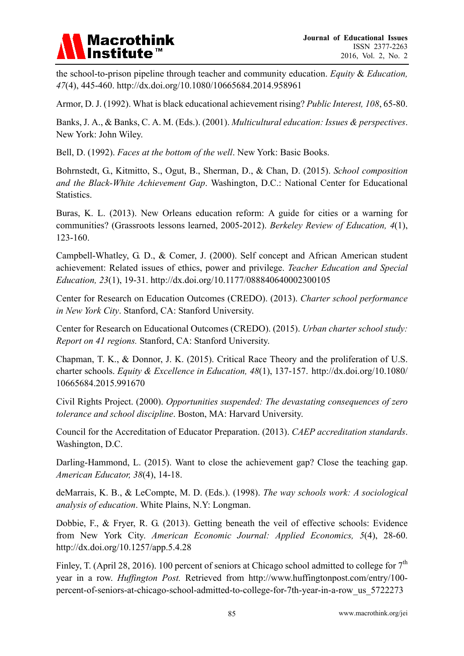

the school-to-prison pipeline through teacher and community education. *Equity* & *Education, 47*(4), 445-460. http://dx.doi.org/10.1080/10665684.2014.958961

Armor, D. J. (1992). What is black educational achievement rising? *Public Interest, 108*, 65-80.

Banks, J. A., & Banks, C. A. M. (Eds.). (2001). *Multicultural education: Issues & perspectives*. New York: John Wiley.

Bell, D. (1992). *Faces at the bottom of the well*. New York: Basic Books.

Bohrnstedt, G., Kitmitto, S., Ogut, B., Sherman, D., & Chan, D. (2015). *School composition and the Black-White Achievement Gap*. Washington, D.C.: National Center for Educational Statistics.

Buras, K. L. (2013). New Orleans education reform: A guide for cities or a warning for communities? (Grassroots lessons learned, 2005-2012). *Berkeley Review of Education, 4*(1), 123-160.

Campbell-Whatley, G. D., & Comer, J. (2000). Self concept and African American student achievement: Related issues of ethics, power and privilege. *Teacher Education and Special Education, 23*(1), 19-31. http://dx.doi.org/10.1177/088840640002300105

Center for Research on Education Outcomes (CREDO). (2013). *Charter school performance in New York City*. Stanford, CA: Stanford University.

Center for Research on Educational Outcomes (CREDO). (2015). *Urban charter school study: Report on 41 regions.* Stanford, CA: Stanford University.

Chapman, T. K., & Donnor, J. K. (2015). Critical Race Theory and the proliferation of U.S. charter schools. *Equity & Excellence in Education, 48*(1), 137-157. http://dx.doi.org/10.1080/ 10665684.2015.991670

Civil Rights Project. (2000). *Opportunities suspended: The devastating consequences of zero tolerance and school discipline*. Boston, MA: Harvard University.

Council for the Accreditation of Educator Preparation. (2013). *CAEP accreditation standards*. Washington, D.C.

Darling-Hammond, L. (2015). Want to close the achievement gap? Close the teaching gap. *American Educator, 38*(4), 14-18.

deMarrais, K. B., & LeCompte, M. D. (Eds.). (1998). *The way schools work: A sociological analysis of education*. White Plains, N.Y: Longman.

Dobbie, F., & Fryer, R. G. (2013). Getting beneath the veil of effective schools: Evidence from New York City. *American Economic Journal: Applied Economics, 5*(4), 28-60. http://dx.doi.org/10.1257/app.5.4.28

Finley, T. (April 28, 2016). 100 percent of seniors at Chicago school admitted to college for  $7<sup>th</sup>$ year in a row. *Huffington Post.* Retrieved from http://www.huffingtonpost.com/entry/100 percent-of-seniors-at-chicago-school-admitted-to-college-for-7th-year-in-a-row\_us\_5722273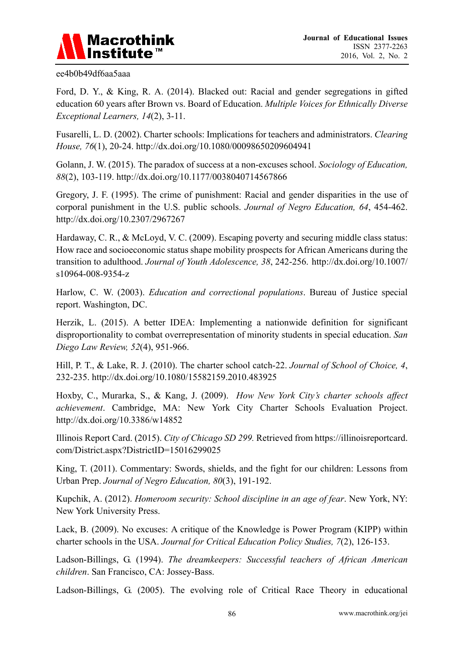

ee4b0b49df6aa5aaa

Ford, D. Y., & King, R. A. (2014). Blacked out: Racial and gender segregations in gifted education 60 years after Brown vs. Board of Education. *Multiple Voices for Ethnically Diverse Exceptional Learners, 14*(2), 3-11.

Fusarelli, L. D. (2002). Charter schools: Implications for teachers and administrators. *Clearing House, 76*(1), 20-24. http://dx.doi.org/10.1080/00098650209604941

Golann, J. W. (2015). The paradox of success at a non-excuses school. *Sociology of Education, 88*(2), 103-119. http://dx.doi.org/10.1177/0038040714567866

Gregory, J. F. (1995). The crime of punishment: Racial and gender disparities in the use of corporal punishment in the U.S. public schools. *Journal of Negro Education, 64*, 454-462. http://dx.doi.org/10.2307/2967267

Hardaway, C. R., & McLoyd, V. C. (2009). Escaping poverty and securing middle class status: How race and socioeconomic status shape mobility prospects for African Americans during the transition to adulthood. *Journal of Youth Adolescence, 38*, 242-256. http://dx.doi.org/10.1007/ s10964-008-9354-z

Harlow, C. W. (2003). *Education and correctional populations*. Bureau of Justice special report. Washington, DC.

Herzik, L. (2015). A better IDEA: Implementing a nationwide definition for significant disproportionality to combat overrepresentation of minority students in special education. *San Diego Law Review, 52*(4), 951-966.

Hill, P. T., & Lake, R. J. (2010). The charter school catch-22. *Journal of School of Choice, 4*, 232-235. http://dx.doi.org/10.1080/15582159.2010.483925

Hoxby, C., Murarka, S., & Kang, J. (2009). *How New York City's charter schools affect achievement*. Cambridge, MA: New York City Charter Schools Evaluation Project. http://dx.doi.org/10.3386/w14852

Illinois Report Card. (2015). *City of Chicago SD 299.* Retrieved from https://illinoisreportcard. com/District.aspx?DistrictID=15016299025

King, T. (2011). Commentary: Swords, shields, and the fight for our children: Lessons from Urban Prep. *Journal of Negro Education, 80*(3), 191-192.

Kupchik, A. (2012). *Homeroom security: School discipline in an age of fear*. New York, NY: New York University Press.

Lack, B. (2009). No excuses: A critique of the Knowledge is Power Program (KIPP) within charter schools in the USA. *Journal for Critical Education Policy Studies, 7*(2), 126-153.

Ladson-Billings, G. (1994). *The dreamkeepers: Successful teachers of African American children*. San Francisco, CA: Jossey-Bass.

Ladson-Billings, G. (2005). The evolving role of Critical Race Theory in educational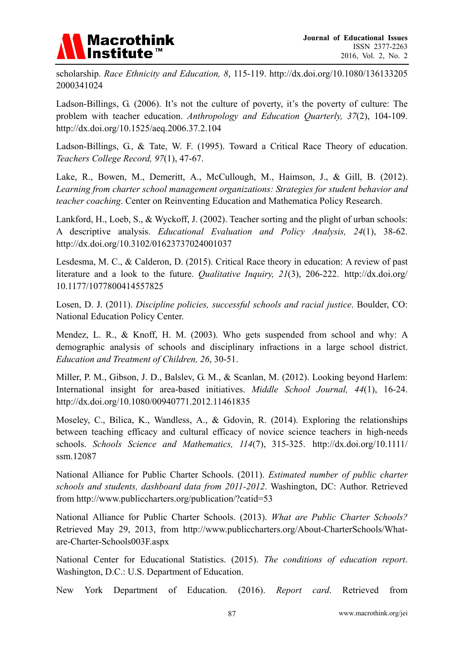

scholarship. *Race Ethnicity and Education, 8*, 115-119. http://dx.doi.org/10.1080/136133205 2000341024

Ladson-Billings, G. (2006). It's not the culture of poverty, it's the poverty of culture: The problem with teacher education. *Anthropology and Education Quarterly, 37*(2), 104-109. http://dx.doi.org/10.1525/aeq.2006.37.2.104

Ladson-Billings, G., & Tate, W. F. (1995). Toward a Critical Race Theory of education. *Teachers College Record, 97*(1), 47-67.

Lake, R., Bowen, M., Demeritt, A., McCullough, M., Haimson, J., & Gill, B. (2012). *Learning from charter school management organizations: Strategies for student behavior and teacher coaching*. Center on Reinventing Education and Mathematica Policy Research.

Lankford, H., Loeb, S., & Wyckoff, J. (2002). Teacher sorting and the plight of urban schools: A descriptive analysis. *Educational Evaluation and Policy Analysis, 24*(1), 38-62. http://dx.doi.org/10.3102/01623737024001037

Lesdesma, M. C., & Calderon, D. (2015). Critical Race theory in education: A review of past literature and a look to the future. *Qualitative Inquiry, 21*(3), 206-222. http://dx.doi.org/ 10.1177/1077800414557825

Losen, D. J. (2011). *Discipline policies, successful schools and racial justice*. Boulder, CO: National Education Policy Center.

Mendez, L. R., & Knoff, H. M. (2003). Who gets suspended from school and why: A demographic analysis of schools and disciplinary infractions in a large school district. *Education and Treatment of Children, 26*, 30-51.

Miller, P. M., Gibson, J. D., Balslev, G. M., & Scanlan, M. (2012). Looking beyond Harlem: International insight for area-based initiatives. *Middle School Journal, 44*(1), 16-24. http://dx.doi.org/10.1080/00940771.2012.11461835

Moseley, C., Bilica, K., Wandless, A., & Gdovin, R. (2014). Exploring the relationships between teaching efficacy and cultural efficacy of novice science teachers in high-needs schools. *Schools Science and Mathematics, 114*(7), 315-325. http://dx.doi.org/10.1111/ ssm.12087

National Alliance for Public Charter Schools. (2011). *Estimated number of public charter schools and students, dashboard data from 2011-2012*. Washington, DC: Author. Retrieved from http://www.publiccharters.org/publication/?catid=53

National Alliance for Public Charter Schools. (2013). *What are Public Charter Schools?*  Retrieved May 29, 2013, from http://www.publiccharters.org/About-CharterSchools/Whatare-Charter-Schools003F.aspx

National Center for Educational Statistics. (2015). *The conditions of education report*. Washington, D.C.: U.S. Department of Education.

New York Department of Education. (2016). *Report card*. Retrieved from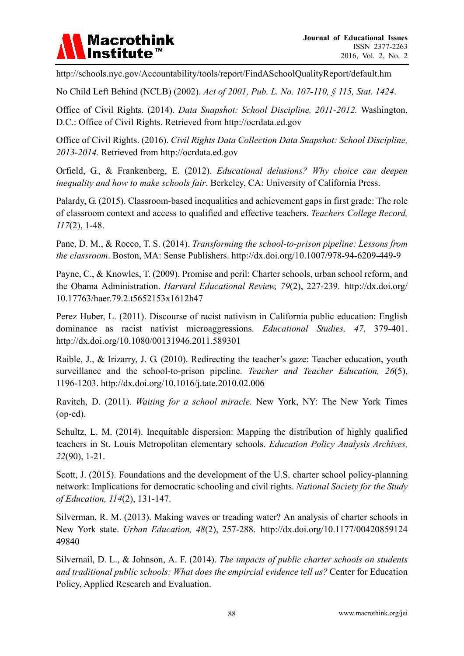

http://schools.nyc.gov/Accountability/tools/report/FindASchoolQualityReport/default.hm

No Child Left Behind (NCLB) (2002). *Act of 2001, Pub. L. No. 107-110, § 115, Stat. 1424*.

Office of Civil Rights. (2014). *Data Snapshot: School Discipline, 2011-2012.* Washington, D.C.: Office of Civil Rights. Retrieved from http://ocrdata.ed.gov

Office of Civil Rights. (2016). *Civil Rights Data Collection Data Snapshot: School Discipline, 2013-2014.* Retrieved from http://ocrdata.ed.gov

Orfield, G., & Frankenberg, E. (2012). *Educational delusions? Why choice can deepen inequality and how to make schools fair*. Berkeley, CA: University of California Press.

Palardy, G. (2015). Classroom-based inequalities and achievement gaps in first grade: The role of classroom context and access to qualified and effective teachers. *Teachers College Record, 117*(2), 1-48.

Pane, D. M., & Rocco, T. S. (2014). *Transforming the school-to-prison pipeline: Lessons from the classroom*. Boston, MA: Sense Publishers. http://dx.doi.org/10.1007/978-94-6209-449-9

Payne, C., & Knowles, T. (2009). Promise and peril: Charter schools, urban school reform, and the Obama Administration. *Harvard Educational Review, 79*(2), 227-239. http://dx.doi.org/ 10.17763/haer.79.2.t5652153x1612h47

Perez Huber, L. (2011). Discourse of racist nativism in California public education: English dominance as racist nativist microaggressions. *Educational Studies, 47*, 379-401. http://dx.doi.org/10.1080/00131946.2011.589301

Raible, J., & Irizarry, J. G. (2010). Redirecting the teacher's gaze: Teacher education, youth surveillance and the school-to-prison pipeline. *Teacher and Teacher Education, 26*(5), 1196-1203. http://dx.doi.org/10.1016/j.tate.2010.02.006

Ravitch, D. (2011). *Waiting for a school miracle*. New York, NY: The New York Times (op-ed).

Schultz, L. M. (2014). Inequitable dispersion: Mapping the distribution of highly qualified teachers in St. Louis Metropolitan elementary schools. *Education Policy Analysis Archives, 22*(90), 1-21.

Scott, J. (2015). Foundations and the development of the U.S. charter school policy-planning network: Implications for democratic schooling and civil rights. *National Society for the Study of Education, 114*(2), 131-147.

Silverman, R. M. (2013). Making waves or treading water? An analysis of charter schools in New York state. *Urban Education, 48*(2), 257-288. http://dx.doi.org/10.1177/00420859124 49840

Silvernail, D. L., & Johnson, A. F. (2014). *The impacts of public charter schools on students and traditional public schools: What does the empircial evidence tell us?* Center for Education Policy, Applied Research and Evaluation.